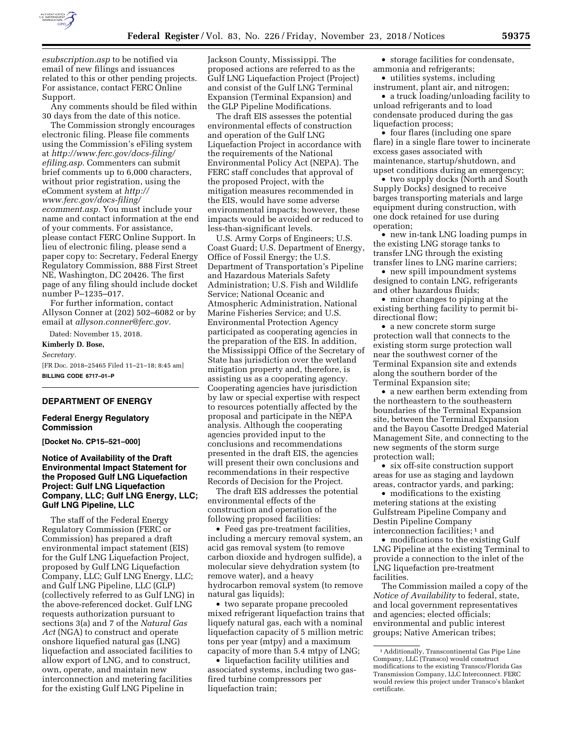

*esubscription.asp* to be notified via email of new filings and issuances related to this or other pending projects. For assistance, contact FERC Online Support.

Any comments should be filed within 30 days from the date of this notice.

The Commission strongly encourages electronic filing. Please file comments using the Commission's eFiling system at *[http://www.ferc.gov/docs-filing/](http://www.ferc.gov/docs-filing/efiling.asp) [efiling.asp.](http://www.ferc.gov/docs-filing/efiling.asp)* Commenters can submit brief comments up to 6,000 characters, without prior registration, using the eComment system at *[http://](http://www.ferc.gov/docs-filing/ecomment.asp) [www.ferc.gov/docs-filing/](http://www.ferc.gov/docs-filing/ecomment.asp)  [ecomment.asp.](http://www.ferc.gov/docs-filing/ecomment.asp)* You must include your name and contact information at the end of your comments. For assistance, please contact FERC Online Support. In lieu of electronic filing, please send a paper copy to: Secretary, Federal Energy Regulatory Commission, 888 First Street NE, Washington, DC 20426. The first page of any filing should include docket number P–1235–017.

For further information, contact Allyson Conner at (202) 502–6082 or by email at *[allyson.conner@ferc.gov.](mailto:allyson.conner@ferc.gov)* 

Dated: November 15, 2018.

**Kimberly D. Bose,** 

*Secretary.* 

[FR Doc. 2018–25465 Filed 11–21–18; 8:45 am] **BILLING CODE 6717–01–P** 

### **DEPARTMENT OF ENERGY**

### **Federal Energy Regulatory Commission**

**[Docket No. CP15–521–000]** 

## **Notice of Availability of the Draft Environmental Impact Statement for the Proposed Gulf LNG Liquefaction Project: Gulf LNG Liquefaction Company, LLC; Gulf LNG Energy, LLC; Gulf LNG Pipeline, LLC**

The staff of the Federal Energy Regulatory Commission (FERC or Commission) has prepared a draft environmental impact statement (EIS) for the Gulf LNG Liquefaction Project, proposed by Gulf LNG Liquefaction Company, LLC; Gulf LNG Energy, LLC; and Gulf LNG Pipeline, LLC (GLP) (collectively referred to as Gulf LNG) in the above-referenced docket. Gulf LNG requests authorization pursuant to sections 3(a) and 7 of the *Natural Gas*  Act (NGA) to construct and operate onshore liquefied natural gas (LNG) liquefaction and associated facilities to allow export of LNG, and to construct, own, operate, and maintain new interconnection and metering facilities for the existing Gulf LNG Pipeline in

Jackson County, Mississippi. The proposed actions are referred to as the Gulf LNG Liquefaction Project (Project) and consist of the Gulf LNG Terminal Expansion (Terminal Expansion) and the GLP Pipeline Modifications.

The draft EIS assesses the potential environmental effects of construction and operation of the Gulf LNG Liquefaction Project in accordance with the requirements of the National Environmental Policy Act (NEPA). The FERC staff concludes that approval of the proposed Project, with the mitigation measures recommended in the EIS, would have some adverse environmental impacts; however, these impacts would be avoided or reduced to less-than-significant levels.

U.S. Army Corps of Engineers; U.S. Coast Guard; U.S. Department of Energy, Office of Fossil Energy; the U.S. Department of Transportation's Pipeline and Hazardous Materials Safety Administration; U.S. Fish and Wildlife Service; National Oceanic and Atmospheric Administration, National Marine Fisheries Service; and U.S. Environmental Protection Agency participated as cooperating agencies in the preparation of the EIS. In addition, the Mississippi Office of the Secretary of State has jurisdiction over the wetland mitigation property and, therefore, is assisting us as a cooperating agency. Cooperating agencies have jurisdiction by law or special expertise with respect to resources potentially affected by the proposal and participate in the NEPA analysis. Although the cooperating agencies provided input to the conclusions and recommendations presented in the draft EIS, the agencies will present their own conclusions and recommendations in their respective Records of Decision for the Project.

The draft EIS addresses the potential environmental effects of the construction and operation of the following proposed facilities:

• Feed gas pre-treatment facilities, including a mercury removal system, an acid gas removal system (to remove carbon dioxide and hydrogen sulfide), a molecular sieve dehydration system (to remove water), and a heavy hydrocarbon removal system (to remove natural gas liquids);

• two separate propane precooled mixed refrigerant liquefaction trains that liquefy natural gas, each with a nominal liquefaction capacity of 5 million metric tons per year (mtpy) and a maximum capacity of more than 5.4 mtpy of LNG;

• liquefaction facility utilities and associated systems, including two gasfired turbine compressors per liquefaction train;

• storage facilities for condensate, ammonia and refrigerants;

• utilities systems, including instrument, plant air, and nitrogen;

• a truck loading/unloading facility to unload refrigerants and to load condensate produced during the gas liquefaction process;

• four flares (including one spare flare) in a single flare tower to incinerate excess gases associated with maintenance, startup/shutdown, and upset conditions during an emergency;

• two supply docks (North and South Supply Docks) designed to receive barges transporting materials and large equipment during construction, with one dock retained for use during operation;

• new in-tank LNG loading pumps in the existing LNG storage tanks to transfer LNG through the existing transfer lines to LNG marine carriers;

• new spill impoundment systems designed to contain LNG, refrigerants and other hazardous fluids;

• minor changes to piping at the existing berthing facility to permit bidirectional flow;

• a new concrete storm surge protection wall that connects to the existing storm surge protection wall near the southwest corner of the Terminal Expansion site and extends along the southern border of the Terminal Expansion site;

• a new earthen berm extending from the northeastern to the southeastern boundaries of the Terminal Expansion site, between the Terminal Expansion and the Bayou Casotte Dredged Material Management Site, and connecting to the new segments of the storm surge protection wall;

• six off-site construction support areas for use as staging and laydown areas, contractor yards, and parking;

• modifications to the existing metering stations at the existing Gulfstream Pipeline Company and Destin Pipeline Company interconnection facilities;<sup>1</sup> and

• modifications to the existing Gulf LNG Pipeline at the existing Terminal to provide a connection to the inlet of the LNG liquefaction pre-treatment facilities.

The Commission mailed a copy of the *Notice of Availability* to federal, state, and local government representatives and agencies; elected officials; environmental and public interest groups; Native American tribes;

<sup>1</sup>Additionally, Transcontinental Gas Pipe Line Company, LLC (Transco) would construct modifications to the existing Transco/Florida Gas Transmission Company, LLC Interconnect. FERC would review this project under Transco's blanket certificate.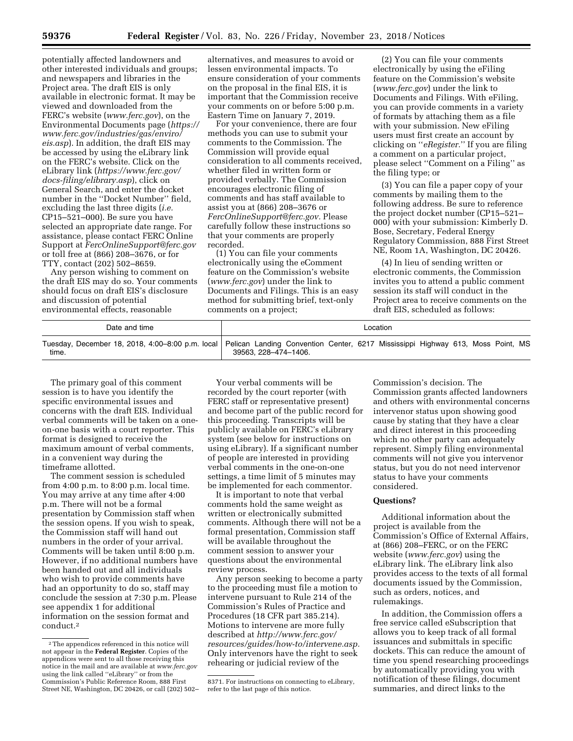potentially affected landowners and other interested individuals and groups; and newspapers and libraries in the Project area. The draft EIS is only available in electronic format. It may be viewed and downloaded from the FERC's website (*[www.ferc.gov](http://www.ferc.gov)*), on the Environmental Documents page (*[https://](https://www.ferc.gov/industries/gas/enviro/eis.asp)  [www.ferc.gov/industries/gas/enviro/](https://www.ferc.gov/industries/gas/enviro/eis.asp)  [eis.asp](https://www.ferc.gov/industries/gas/enviro/eis.asp)*). In addition, the draft EIS may be accessed by using the eLibrary link on the FERC's website. Click on the eLibrary link (*[https://www.ferc.gov/](https://www.ferc.gov/docs-filing/elibrary.asp) [docs-filing/elibrary.asp](https://www.ferc.gov/docs-filing/elibrary.asp)*), click on General Search, and enter the docket number in the ''Docket Number'' field, excluding the last three digits (*i.e.*  CP15–521–000). Be sure you have selected an appropriate date range. For assistance, please contact FERC Online Support at *[FercOnlineSupport@ferc.gov](mailto:FercOnlineSupport@ferc.gov)*  or toll free at (866) 208–3676, or for TTY, contact (202) 502–8659.

Any person wishing to comment on the draft EIS may do so. Your comments should focus on draft EIS's disclosure and discussion of potential environmental effects, reasonable

alternatives, and measures to avoid or lessen environmental impacts. To ensure consideration of your comments on the proposal in the final EIS, it is important that the Commission receive your comments on or before 5:00 p.m. Eastern Time on January 7, 2019.

For your convenience, there are four methods you can use to submit your comments to the Commission. The Commission will provide equal consideration to all comments received, whether filed in written form or provided verbally. The Commission encourages electronic filing of comments and has staff available to assist you at (866) 208–3676 or *[FercOnlineSupport@ferc.gov.](mailto:FercOnlineSupport@ferc.gov)* Please carefully follow these instructions so that your comments are properly recorded.

(1) You can file your comments electronically using the eComment feature on the Commission's website (*[www.ferc.gov](http://www.ferc.gov)*) under the link to Documents and Filings. This is an easy method for submitting brief, text-only comments on a project;

(2) You can file your comments electronically by using the eFiling feature on the Commission's website (*[www.ferc.gov](http://www.ferc.gov)*) under the link to Documents and Filings. With eFiling, you can provide comments in a variety of formats by attaching them as a file with your submission. New eFiling users must first create an account by clicking on ''*eRegister.*'' If you are filing a comment on a particular project, please select ''Comment on a Filing'' as the filing type; or

(3) You can file a paper copy of your comments by mailing them to the following address. Be sure to reference the project docket number (CP15–521– 000) with your submission: Kimberly D. Bose, Secretary, Federal Energy Regulatory Commission, 888 First Street NE, Room 1A, Washington, DC 20426.

(4) In lieu of sending written or electronic comments, the Commission invites you to attend a public comment session its staff will conduct in the Project area to receive comments on the draft EIS, scheduled as follows:

| Date and time | ∟ocation                                                                                                                                                   |
|---------------|------------------------------------------------------------------------------------------------------------------------------------------------------------|
| time.         | Tuesday, December 18, 2018, 4:00–8:00 p.m. local   Pelican Landing Convention Center, 6217 Mississippi Highway 613, Moss Point, MS<br>39563, 228-474-1406. |

The primary goal of this comment session is to have you identify the specific environmental issues and concerns with the draft EIS. Individual verbal comments will be taken on a oneon-one basis with a court reporter. This format is designed to receive the maximum amount of verbal comments, in a convenient way during the timeframe allotted.

The comment session is scheduled from 4:00 p.m. to 8:00 p.m. local time. You may arrive at any time after 4:00 p.m. There will not be a formal presentation by Commission staff when the session opens. If you wish to speak, the Commission staff will hand out numbers in the order of your arrival. Comments will be taken until 8:00 p.m. However, if no additional numbers have been handed out and all individuals who wish to provide comments have had an opportunity to do so, staff may conclude the session at 7:30 p.m. Please see appendix 1 for additional information on the session format and conduct.2

Your verbal comments will be recorded by the court reporter (with FERC staff or representative present) and become part of the public record for this proceeding. Transcripts will be publicly available on FERC's eLibrary system (see below for instructions on using eLibrary). If a significant number of people are interested in providing verbal comments in the one-on-one settings, a time limit of 5 minutes may be implemented for each commentor.

It is important to note that verbal comments hold the same weight as written or electronically submitted comments. Although there will not be a formal presentation, Commission staff will be available throughout the comment session to answer your questions about the environmental review process.

Any person seeking to become a party to the proceeding must file a motion to intervene pursuant to Rule 214 of the Commission's Rules of Practice and Procedures (18 CFR part 385.214). Motions to intervene are more fully described at *[http://www.ferc.gov/](http://www.ferc.gov/resources/guides/how-to/intervene.asp)  [resources/guides/how-to/intervene.asp.](http://www.ferc.gov/resources/guides/how-to/intervene.asp)*  Only intervenors have the right to seek rehearing or judicial review of the

Commission's decision. The Commission grants affected landowners and others with environmental concerns intervenor status upon showing good cause by stating that they have a clear and direct interest in this proceeding which no other party can adequately represent. Simply filing environmental comments will not give you intervenor status, but you do not need intervenor status to have your comments considered.

#### **Questions?**

Additional information about the project is available from the Commission's Office of External Affairs, at (866) 208–FERC, or on the FERC website (*[www.ferc.gov](http://www.ferc.gov)*) using the eLibrary link. The eLibrary link also provides access to the texts of all formal documents issued by the Commission, such as orders, notices, and rulemakings.

In addition, the Commission offers a free service called eSubscription that allows you to keep track of all formal issuances and submittals in specific dockets. This can reduce the amount of time you spend researching proceedings by automatically providing you with notification of these filings, document summaries, and direct links to the

<sup>2</sup>The appendices referenced in this notice will not appear in the **Federal Register**. Copies of the appendices were sent to all those receiving this notice in the mail and are available at *[www.ferc.gov](http://www.ferc.gov)*  using the link called ''eLibrary'' or from the Commission's Public Reference Room, 888 First Street NE, Washington, DC 20426, or call (202) 502–

<sup>8371.</sup> For instructions on connecting to eLibrary, refer to the last page of this notice.